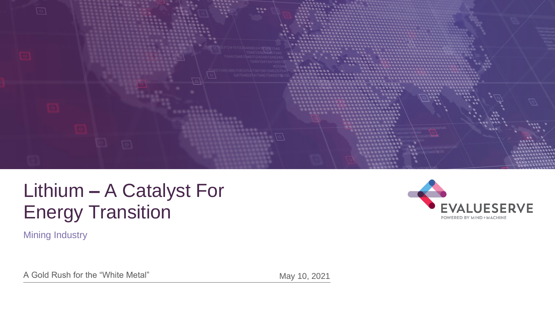

# Lithium **–** A Catalyst For Energy Transition

**Mining Industry** 



A Gold Rush for the "White Metal" May 10, 2021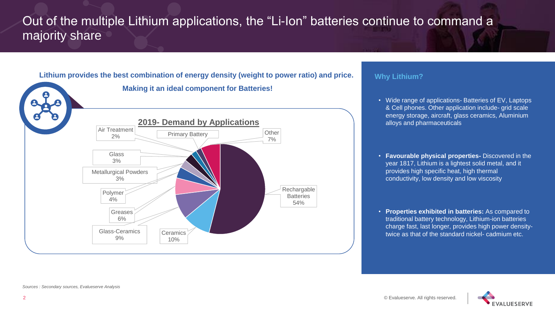# Out of the multiple Lithium applications, the "Li-Ion" batteries continue to command a majority share



#### **Why Lithium?**

- Wide range of applications- Batteries of EV, Laptops & Cell phones. Other application include- grid scale energy storage, aircraft, glass ceramics, Aluminium alloys and pharmaceuticals
- **Favourable physical properties-** Discovered in the year 1817, Lithium is a lightest solid metal, and it provides high specific heat, high thermal conductivity, low density and low viscosity
- **Properties exhibited in batteries:** As compared to traditional battery technology, Lithium-ion batteries charge fast, last longer, provides high power densitytwice as that of the standard nickel- cadmium etc.

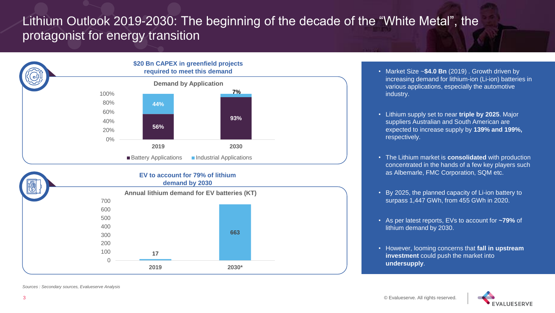# Lithium Outlook 2019-2030: The beginning of the decade of the "White Metal", the protagonist for energy transition



- Market Size ~**\$4.0 Bn** (2019) . Growth driven by increasing demand for lithium-ion (Li-ion) batteries in various applications, especially the automotive industry.
- Lithium supply set to near **triple by 2025**. Major suppliers Australian and South American are expected to increase supply by **139% and 199%,**  respectively.
- The Lithium market is **consolidated** with production concentrated in the hands of a few key players such as Albemarle, FMC Corporation, SQM etc.
- By 2025, the planned capacity of Li-ion battery to surpass 1,447 GWh, from 455 GWh in 2020.
- As per latest reports, EVs to account for **~79%** of lithium demand by 2030.
- However, looming concerns that **fall in upstream investment** could push the market into **undersupply**.



*Sources : Secondary sources, Evalueserve Analysis*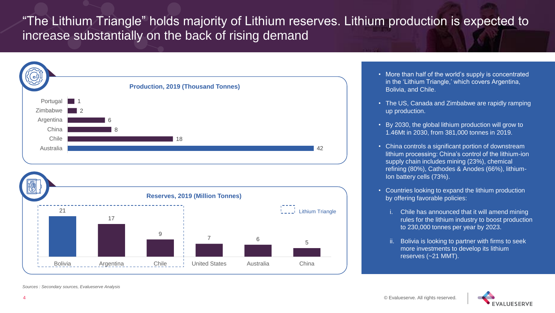"The Lithium Triangle" holds majority of Lithium reserves. Lithium production is expected to increase substantially on the back of rising demand



- More than half of the world's supply is concentrated in the 'Lithium Triangle,' which covers Argentina, Bolivia, and Chile.
- The US, Canada and Zimbabwe are rapidly ramping up production.
- By 2030, the global lithium production will grow to 1.46Mt in 2030, from 381,000 tonnes in 2019.
- China controls a significant portion of downstream lithium processing: China's control of the lithium-ion supply chain includes mining (23%), chemical refining (80%), Cathodes & Anodes (66%), lithium-Ion battery cells (73%).
- Countries looking to expand the lithium production by offering favorable policies:
	- i. Chile has announced that it will amend mining rules for the lithium industry to boost production to 230,000 tonnes per year by 2023.
	- ii. Bolivia is looking to partner with firms to seek more investments to develop its lithium reserves (~21 MMT).

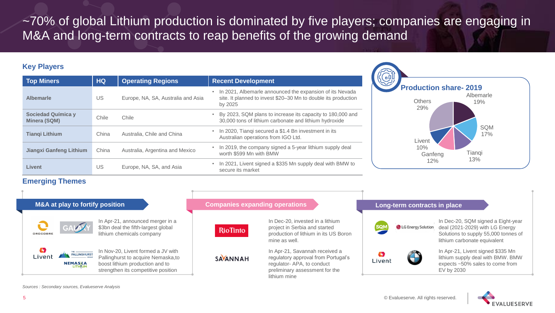~70% of global Lithium production is dominated by five players; companies are engaging in M&A and long-term contracts to reap benefits of the growing demand

# **Key Players**

| <b>Top Miners</b>                                | <b>HQ</b> | <b>Operating Regions</b>           | <b>Recent Development</b>                                                                                                               |
|--------------------------------------------------|-----------|------------------------------------|-----------------------------------------------------------------------------------------------------------------------------------------|
| <b>Albemarle</b>                                 | US        | Europe, NA, SA, Australia and Asia | • In 2021, Albemarle announced the expansion of its Nevada<br>site. It planned to invest \$20-30 Mn to double its production<br>by 2025 |
| <b>Sociedad Química y</b><br><b>Minera (SQM)</b> | Chile     | Chile                              | • By 2023, SQM plans to increase its capacity to 180,000 and<br>30,000 tons of lithium carbonate and lithium hydroxide                  |
| <b>Tiangi Lithium</b>                            | China     | Australia, Chile and China         | In 2020, Tianqi secured a \$1.4 Bn investment in its<br>$\bullet$<br>Australian operations from IGO Ltd.                                |
| <b>Jiangxi Ganfeng Lithium</b>                   | China     | Australia, Argentina and Mexico    | In 2019, the company signed a 5-year lithium supply deal<br>worth \$599 Mn with BMW                                                     |
| <b>Livent</b>                                    | US        | Europe, NA, SA, and Asia           | In 2021, Livent signed a \$335 Mn supply deal with BMW to<br>secure its market                                                          |



### **Emerging Themes**



*Sources : Secondary sources, Evalueserve Analysis*



**ALUESERVE**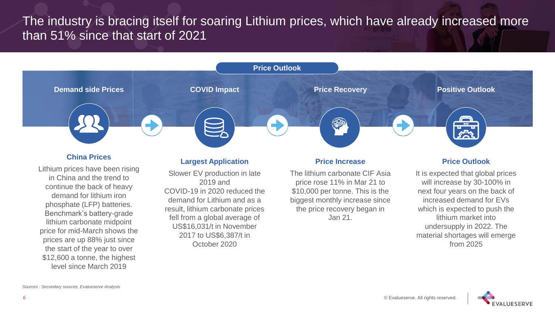# The industry is bracing itself for soaring Lithium prices, which have already increased more than 51% since that start of 2021



### **China Prices**

Lithium prices have been rising in China and the trend to continue the back of heavy demand for lithium iron phosphate (LFP) batteries. Benchmark's battery-grade lithium carbonate midpoint price for mid-March shows the prices are up 88% just since the start of the year to over \$12,600 a tonne, the highest level since March 2019

### **Largest Application**

Slower EV production in late 2019 and COVID-19 in 2020 reduced the demand for Lithium and as a result, lithium carbonate prices fell from a global average of US\$16,031/t in November 2017 to US\$6,387/t in October 2020

#### **Price Increase**

The lithium carbonate CIF Asia price rose 11% in Mar 21 to \$10,000 per tonne. This is the biggest monthly increase since the price recovery began in Jan 21.

#### **Price Outlook**

It is expected that global prices will increase by 30-100% in next four years on the back of increased demand for EVs which is expected to push the lithium market into undersupply in 2022. The material shortages will emerge from 2025

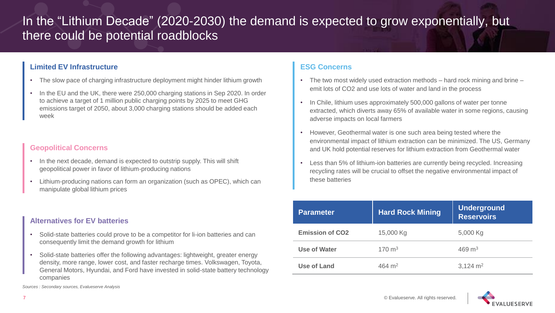# In the "Lithium Decade" (2020-2030) the demand is expected to grow exponentially, but there could be potential roadblocks

### **Limited EV Infrastructure**

- The slow pace of charging infrastructure deployment might hinder lithium growth
- In the EU and the UK, there were 250,000 charging stations in Sep 2020. In order to achieve a target of 1 million public charging points by 2025 to meet GHG emissions target of 2050, about 3,000 charging stations should be added each week

# **Geopolitical Concerns**

- In the next decade, demand is expected to outstrip supply. This will shift geopolitical power in favor of lithium-producing nations
- Lithium-producing nations can form an organization (such as OPEC), which can manipulate global lithium prices

### **Alternatives for EV batteries**

- Solid-state batteries could prove to be a competitor for li-ion batteries and can consequently limit the demand growth for lithium
- Solid-state batteries offer the following advantages: lightweight, greater energy density, more range, lower cost, and faster recharge times. Volkswagen, Toyota, General Motors, Hyundai, and Ford have invested in solid-state battery technology companies

*Sources : Secondary sources, Evalueserve Analysis*

# **ESG Concerns**

- The two most widely used extraction methods hard rock mining and brine emit lots of CO2 and use lots of water and land in the process
- In Chile, lithium uses approximately 500,000 gallons of water per tonne extracted, which diverts away 65% of available water in some regions, causing adverse impacts on local farmers
- However, Geothermal water is one such area being tested where the environmental impact of lithium extraction can be minimized. The US, Germany and UK hold potential reserves for lithium extraction from Geothermal water
- Less than 5% of lithium-ion batteries are currently being recycled. Increasing recycling rates will be crucial to offset the negative environmental impact of these batteries

| Parameter              | <b>Hard Rock Mining</b> | <b>Underground</b><br><b>Reservoirs</b> |
|------------------------|-------------------------|-----------------------------------------|
| <b>Emission of CO2</b> | 15,000 Kg               | 5,000 Kg                                |
| <b>Use of Water</b>    | $170 \text{ m}^3$       | 469 $m3$                                |
| <b>Use of Land</b>     | 464 $m2$                | $3,124 \text{ m}^2$                     |